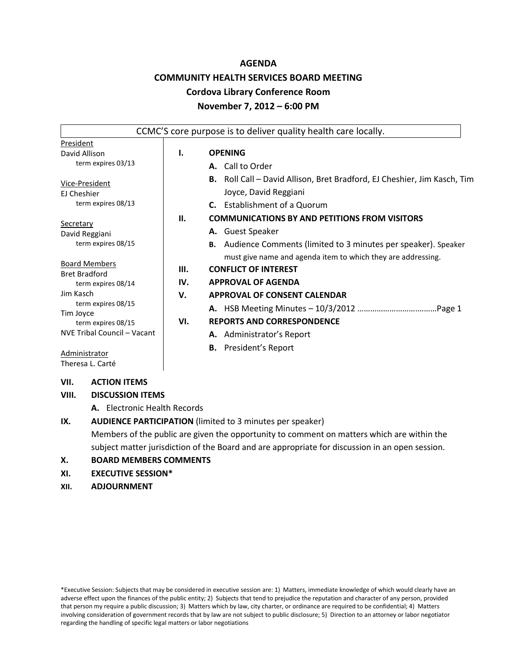#### **AGENDA**

# **COMMUNITY HEALTH SERVICES BOARD MEETING**

#### **Cordova Library Conference Room**

#### **November 7, 2012 – 6:00 PM**

|                                              |      | CCMC'S core purpose is to deliver quality health care locally.                  |
|----------------------------------------------|------|---------------------------------------------------------------------------------|
| President<br>David Allison                   | Ι.   | <b>OPENING</b>                                                                  |
| term expires 03/13                           |      | <b>A.</b> Call to Order                                                         |
| Vice-President                               |      | <b>B.</b> Roll Call – David Allison, Bret Bradford, EJ Cheshier, Jim Kasch, Tim |
| <b>El Cheshier</b>                           |      | Joyce, David Reggiani                                                           |
| term expires 08/13                           |      | <b>C.</b> Establishment of a Quorum                                             |
| Secretary                                    | II.  | <b>COMMUNICATIONS BY AND PETITIONS FROM VISITORS</b>                            |
| David Reggiani                               |      | A. Guest Speaker                                                                |
| term expires 08/15                           |      | <b>B.</b> Audience Comments (limited to 3 minutes per speaker). Speaker         |
|                                              |      | must give name and agenda item to which they are addressing.                    |
| <b>Board Members</b><br><b>Bret Bradford</b> | III. | <b>CONFLICT OF INTEREST</b>                                                     |
| term expires 08/14                           | IV.  | <b>APPROVAL OF AGENDA</b>                                                       |
| Jim Kasch                                    | v.   | <b>APPROVAL OF CONSENT CALENDAR</b>                                             |
| term expires 08/15<br>Tim Joyce              |      |                                                                                 |
| term expires 08/15                           | VI.  | <b>REPORTS AND CORRESPONDENCE</b>                                               |
| NVE Tribal Council - Vacant                  |      | <b>A.</b> Administrator's Report                                                |
| Administrator<br>Theresa L. Carté            |      | <b>B.</b> President's Report                                                    |

# **VII. ACTION ITEMS**

# **VIII. DISCUSSION ITEMS**

**A.** Electronic Health Records

# **IX. AUDIENCE PARTICIPATION** (limited to 3 minutes per speaker) Members of the public are given the opportunity to comment on matters which are within the

subject matter jurisdiction of the Board and are appropriate for discussion in an open session.

# **X. BOARD MEMBERS COMMENTS**

# **XI. EXECUTIVE SESSION\***

# **XII. ADJOURNMENT**

\*Executive Session: Subjects that may be considered in executive session are: 1) Matters, immediate knowledge of which would clearly have an adverse effect upon the finances of the public entity; 2) Subjects that tend to prejudice the reputation and character of any person, provided that person my require a public discussion; 3) Matters which by law, city charter, or ordinance are required to be confidential; 4) Matters involving consideration of government records that by law are not subject to public disclosure; 5) Direction to an attorney or labor negotiator regarding the handling of specific legal matters or labor negotiations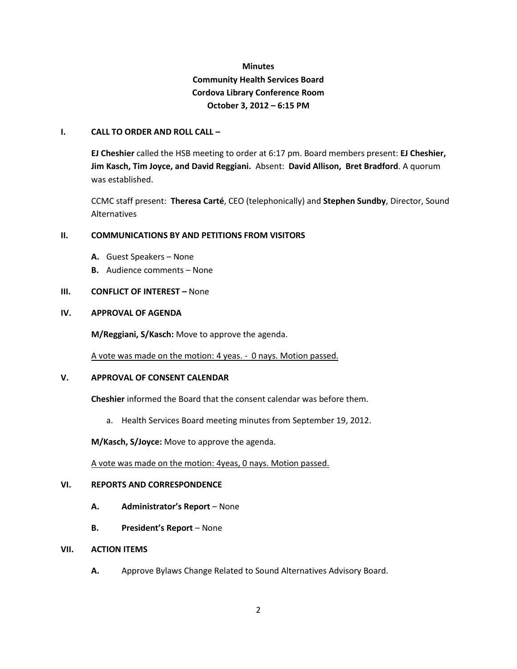# **Minutes Community Health Services Board Cordova Library Conference Room October 3, 2012 – 6:15 PM**

#### **I. CALL TO ORDER AND ROLL CALL –**

**EJ Cheshier** called the HSB meeting to order at 6:17 pm. Board members present: **EJ Cheshier, Jim Kasch, Tim Joyce, and David Reggiani.** Absent: **David Allison, Bret Bradford**. A quorum was established.

CCMC staff present: **Theresa Carté**, CEO (telephonically) and **Stephen Sundby**, Director, Sound Alternatives

#### **II. COMMUNICATIONS BY AND PETITIONS FROM VISITORS**

- **A.** Guest Speakers None
- **B.** Audience comments None

#### **III. CONFLICT OF INTEREST –** None

#### **IV. APPROVAL OF AGENDA**

**M/Reggiani, S/Kasch:** Move to approve the agenda.

A vote was made on the motion: 4 yeas. - 0 nays. Motion passed.

#### **V. APPROVAL OF CONSENT CALENDAR**

**Cheshier** informed the Board that the consent calendar was before them.

a. Health Services Board meeting minutes from September 19, 2012.

**M/Kasch, S/Joyce:** Move to approve the agenda.

A vote was made on the motion: 4yeas, 0 nays. Motion passed.

#### **VI. REPORTS AND CORRESPONDENCE**

- **A. Administrator's Report**  None
- **B.** President's Report None

# **VII. ACTION ITEMS**

**A.** Approve Bylaws Change Related to Sound Alternatives Advisory Board.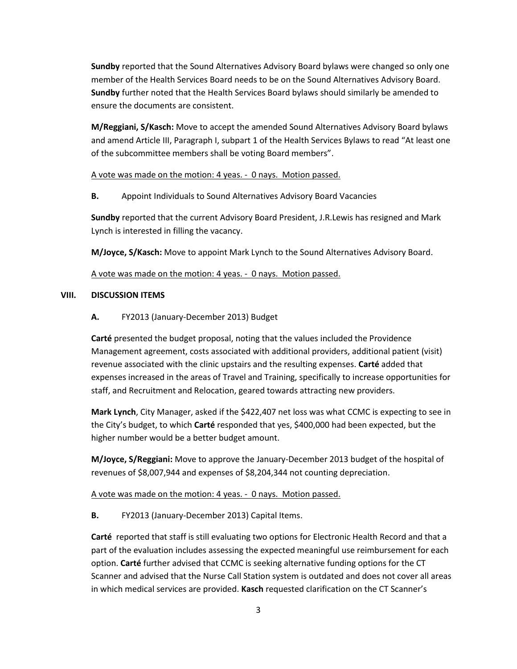**Sundby** reported that the Sound Alternatives Advisory Board bylaws were changed so only one member of the Health Services Board needs to be on the Sound Alternatives Advisory Board. **Sundby** further noted that the Health Services Board bylaws should similarly be amended to ensure the documents are consistent.

**M/Reggiani, S/Kasch:** Move to accept the amended Sound Alternatives Advisory Board bylaws and amend Article III, Paragraph I, subpart 1 of the Health Services Bylaws to read "At least one of the subcommittee members shall be voting Board members".

A vote was made on the motion: 4 yeas. - 0 nays. Motion passed.

**B.** Appoint Individuals to Sound Alternatives Advisory Board Vacancies

**Sundby** reported that the current Advisory Board President, J.R.Lewis has resigned and Mark Lynch is interested in filling the vacancy.

**M/Joyce, S/Kasch:** Move to appoint Mark Lynch to the Sound Alternatives Advisory Board.

A vote was made on the motion: 4 yeas. - 0 nays. Motion passed.

#### **VIII. DISCUSSION ITEMS**

**A.** FY2013 (January-December 2013) Budget

**Carté** presented the budget proposal, noting that the values included the Providence Management agreement, costs associated with additional providers, additional patient (visit) revenue associated with the clinic upstairs and the resulting expenses. **Carté** added that expenses increased in the areas of Travel and Training, specifically to increase opportunities for staff, and Recruitment and Relocation, geared towards attracting new providers.

**Mark Lynch**, City Manager, asked if the \$422,407 net loss was what CCMC is expecting to see in the City's budget, to which **Carté** responded that yes, \$400,000 had been expected, but the higher number would be a better budget amount.

**M/Joyce, S/Reggiani:** Move to approve the January-December 2013 budget of the hospital of revenues of \$8,007,944 and expenses of \$8,204,344 not counting depreciation.

A vote was made on the motion: 4 yeas. - 0 nays. Motion passed.

 **B.** FY2013 (January-December 2013) Capital Items.

**Carté** reported that staff is still evaluating two options for Electronic Health Record and that a part of the evaluation includes assessing the expected meaningful use reimbursement for each option. **Carté** further advised that CCMC is seeking alternative funding options for the CT Scanner and advised that the Nurse Call Station system is outdated and does not cover all areas in which medical services are provided. **Kasch** requested clarification on the CT Scanner's